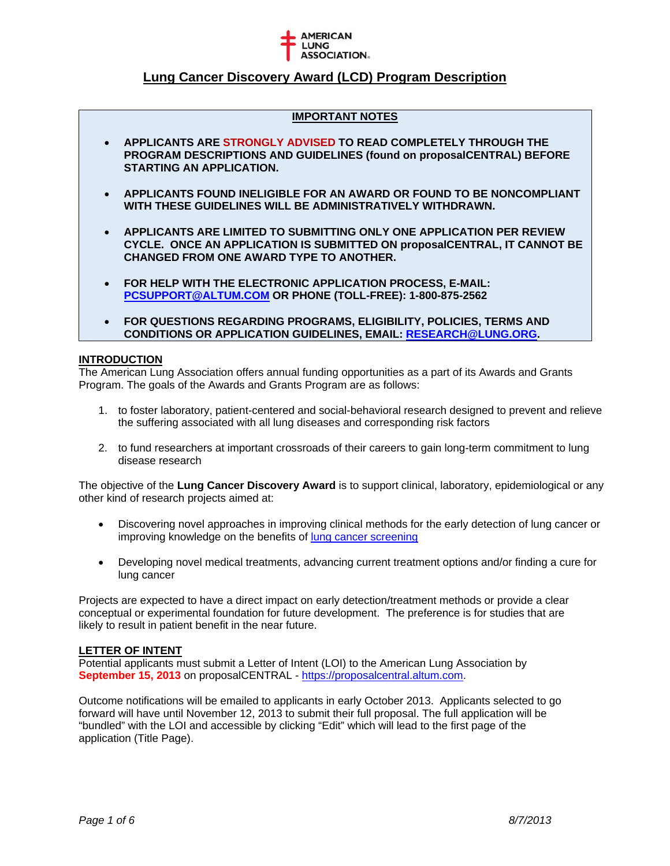

## **IMPORTANT NOTES**

- **APPLICANTS ARE STRONGLY ADVISED TO READ COMPLETELY THROUGH THE PROGRAM DESCRIPTIONS AND GUIDELINES (found on proposalCENTRAL) BEFORE STARTING AN APPLICATION.**
- **APPLICANTS FOUND INELIGIBLE FOR AN AWARD OR FOUND TO BE NONCOMPLIANT WITH THESE GUIDELINES WILL BE ADMINISTRATIVELY WITHDRAWN.**
- **APPLICANTS ARE LIMITED TO SUBMITTING ONLY ONE APPLICATION PER REVIEW CYCLE. ONCE AN APPLICATION IS SUBMITTED ON proposalCENTRAL, IT CANNOT BE CHANGED FROM ONE AWARD TYPE TO ANOTHER.**
- **FOR HELP WITH THE ELECTRONIC APPLICATION PROCESS, E-MAIL: PCSUPPORT@ALTUM.COM OR PHONE (TOLL-FREE): 1-800-875-2562**
- **FOR QUESTIONS REGARDING PROGRAMS, ELIGIBILITY, POLICIES, TERMS AND CONDITIONS OR APPLICATION GUIDELINES, EMAIL: RESEARCH@LUNG.ORG.**

### **INTRODUCTION**

The American Lung Association offers annual funding opportunities as a part of its Awards and Grants Program. The goals of the Awards and Grants Program are as follows:

- 1. to foster laboratory, patient-centered and social-behavioral research designed to prevent and relieve the suffering associated with all lung diseases and corresponding risk factors
- 2. to fund researchers at important crossroads of their careers to gain long-term commitment to lung disease research

The objective of the **Lung Cancer Discovery Award** is to support clinical, laboratory, epidemiological or any other kind of research projects aimed at:

- Discovering novel approaches in improving clinical methods for the early detection of lung cancer or improving knowledge on the benefits of lung cancer screening
- Developing novel medical treatments, advancing current treatment options and/or finding a cure for lung cancer

Projects are expected to have a direct impact on early detection/treatment methods or provide a clear conceptual or experimental foundation for future development. The preference is for studies that are likely to result in patient benefit in the near future.

## **LETTER OF INTENT**

Potential applicants must submit a Letter of Intent (LOI) to the American Lung Association by **September 15, 2013** on proposalCENTRAL - https://proposalcentral.altum.com.

Outcome notifications will be emailed to applicants in early October 2013. Applicants selected to go forward will have until November 12, 2013 to submit their full proposal. The full application will be "bundled" with the LOI and accessible by clicking "Edit" which will lead to the first page of the application (Title Page).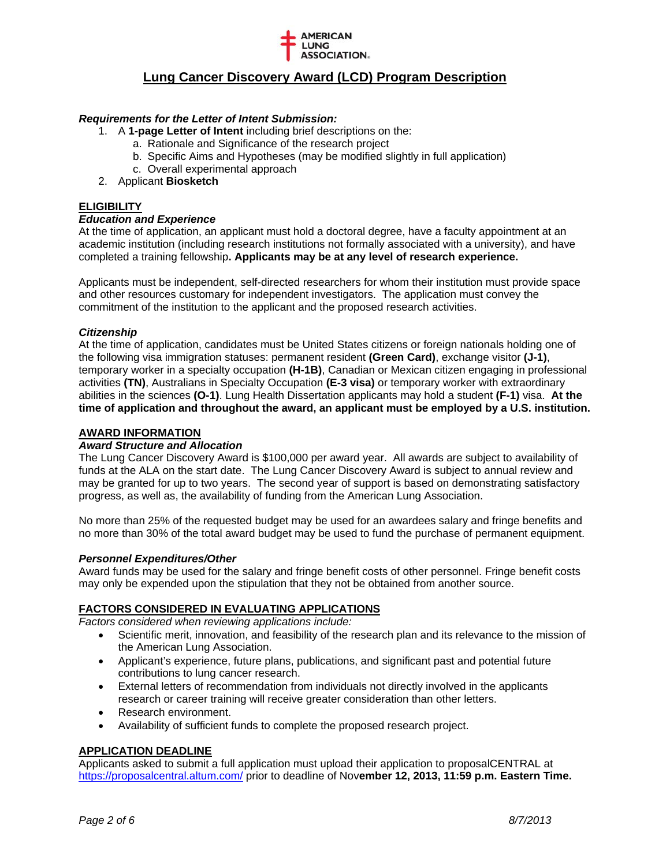

## *Requirements for the Letter of Intent Submission:*

- 1. A **1-page Letter of Intent** including brief descriptions on the:
	- a. Rationale and Significance of the research project
	- b. Specific Aims and Hypotheses (may be modified slightly in full application)
	- c. Overall experimental approach
- 2. Applicant **Biosketch**

## **ELIGIBILITY**

### *Education and Experience*

At the time of application, an applicant must hold a doctoral degree, have a faculty appointment at an academic institution (including research institutions not formally associated with a university), and have completed a training fellowship**. Applicants may be at any level of research experience.** 

Applicants must be independent, self-directed researchers for whom their institution must provide space and other resources customary for independent investigators. The application must convey the commitment of the institution to the applicant and the proposed research activities.

### *Citizenship*

At the time of application, candidates must be United States citizens or foreign nationals holding one of the following visa immigration statuses: permanent resident **(Green Card)**, exchange visitor **(J-1)**, temporary worker in a specialty occupation **(H-1B)**, Canadian or Mexican citizen engaging in professional activities **(TN)**, Australians in Specialty Occupation **(E-3 visa)** or temporary worker with extraordinary abilities in the sciences **(O-1)**. Lung Health Dissertation applicants may hold a student **(F-1)** visa. **At the time of application and throughout the award, an applicant must be employed by a U.S. institution.**

# **AWARD INFORMATION**

# *Award Structure and Allocation*

The Lung Cancer Discovery Award is \$100,000 per award year. All awards are subject to availability of funds at the ALA on the start date. The Lung Cancer Discovery Award is subject to annual review and may be granted for up to two years. The second year of support is based on demonstrating satisfactory progress, as well as, the availability of funding from the American Lung Association.

No more than 25% of the requested budget may be used for an awardees salary and fringe benefits and no more than 30% of the total award budget may be used to fund the purchase of permanent equipment.

## *Personnel Expenditures/Other*

Award funds may be used for the salary and fringe benefit costs of other personnel. Fringe benefit costs may only be expended upon the stipulation that they not be obtained from another source.

## **FACTORS CONSIDERED IN EVALUATING APPLICATIONS**

*Factors considered when reviewing applications include:* 

- Scientific merit, innovation, and feasibility of the research plan and its relevance to the mission of the American Lung Association.
- Applicant's experience, future plans, publications, and significant past and potential future contributions to lung cancer research.
- External letters of recommendation from individuals not directly involved in the applicants research or career training will receive greater consideration than other letters.
- Research environment.
- Availability of sufficient funds to complete the proposed research project.

## **APPLICATION DEADLINE**

Applicants asked to submit a full application must upload their application to proposalCENTRAL at https://proposalcentral.altum.com/ prior to deadline of Nov**ember 12, 2013, 11:59 p.m. Eastern Time.**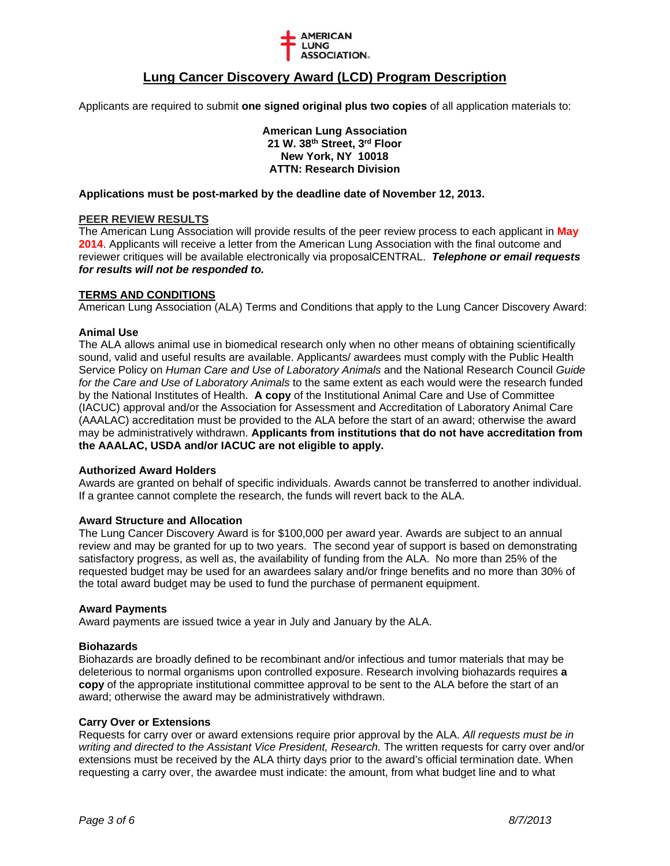

Applicants are required to submit **one signed original plus two copies** of all application materials to:

**American Lung Association 21 W. 38th Street, 3rd Floor New York, NY 10018 ATTN: Research Division** 

#### **Applications must be post-marked by the deadline date of November 12, 2013.**

### **PEER REVIEW RESULTS**

The American Lung Association will provide results of the peer review process to each applicant in **May 2014**. Applicants will receive a letter from the American Lung Association with the final outcome and reviewer critiques will be available electronically via proposalCENTRAL. *Telephone or email requests for results will not be responded to.* 

### **TERMS AND CONDITIONS**

American Lung Association (ALA) Terms and Conditions that apply to the Lung Cancer Discovery Award:

#### **Animal Use**

The ALA allows animal use in biomedical research only when no other means of obtaining scientifically sound, valid and useful results are available. Applicants/ awardees must comply with the Public Health Service Policy on *Human Care and Use of Laboratory Animals* and the National Research Council *Guide for the Care and Use of Laboratory Animals* to the same extent as each would were the research funded by the National Institutes of Health. **A copy** of the Institutional Animal Care and Use of Committee (IACUC) approval and/or the Association for Assessment and Accreditation of Laboratory Animal Care (AAALAC) accreditation must be provided to the ALA before the start of an award; otherwise the award may be administratively withdrawn. **Applicants from institutions that do not have accreditation from the AAALAC, USDA and/or IACUC are not eligible to apply.** 

#### **Authorized Award Holders**

Awards are granted on behalf of specific individuals. Awards cannot be transferred to another individual. If a grantee cannot complete the research, the funds will revert back to the ALA.

#### **Award Structure and Allocation**

The Lung Cancer Discovery Award is for \$100,000 per award year. Awards are subject to an annual review and may be granted for up to two years. The second year of support is based on demonstrating satisfactory progress, as well as, the availability of funding from the ALA. No more than 25% of the requested budget may be used for an awardees salary and/or fringe benefits and no more than 30% of the total award budget may be used to fund the purchase of permanent equipment.

#### **Award Payments**

Award payments are issued twice a year in July and January by the ALA.

#### **Biohazards**

Biohazards are broadly defined to be recombinant and/or infectious and tumor materials that may be deleterious to normal organisms upon controlled exposure. Research involving biohazards requires **a copy** of the appropriate institutional committee approval to be sent to the ALA before the start of an award; otherwise the award may be administratively withdrawn.

#### **Carry Over or Extensions**

Requests for carry over or award extensions require prior approval by the ALA. *All requests must be in writing and directed to the Assistant Vice President, Research.* The written requests for carry over and/or extensions must be received by the ALA thirty days prior to the award's official termination date. When requesting a carry over, the awardee must indicate: the amount, from what budget line and to what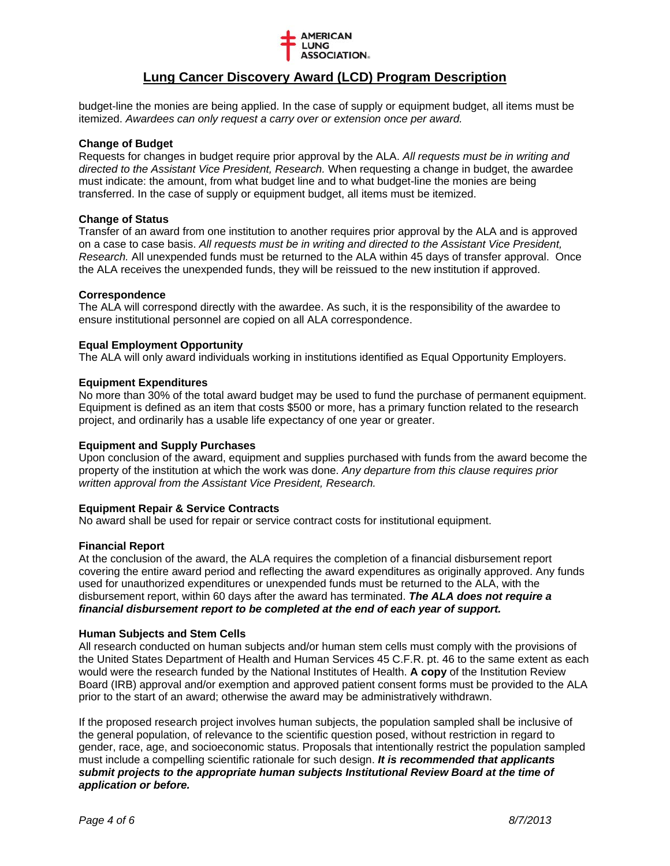

budget-line the monies are being applied. In the case of supply or equipment budget, all items must be itemized. *Awardees can only request a carry over or extension once per award.* 

## **Change of Budget**

Requests for changes in budget require prior approval by the ALA. *All requests must be in writing and directed to the Assistant Vice President, Research.* When requesting a change in budget, the awardee must indicate: the amount, from what budget line and to what budget-line the monies are being transferred. In the case of supply or equipment budget, all items must be itemized.

### **Change of Status**

Transfer of an award from one institution to another requires prior approval by the ALA and is approved on a case to case basis. *All requests must be in writing and directed to the Assistant Vice President, Research.* All unexpended funds must be returned to the ALA within 45 days of transfer approval. Once the ALA receives the unexpended funds, they will be reissued to the new institution if approved.

### **Correspondence**

The ALA will correspond directly with the awardee. As such, it is the responsibility of the awardee to ensure institutional personnel are copied on all ALA correspondence.

### **Equal Employment Opportunity**

The ALA will only award individuals working in institutions identified as Equal Opportunity Employers.

### **Equipment Expenditures**

No more than 30% of the total award budget may be used to fund the purchase of permanent equipment. Equipment is defined as an item that costs \$500 or more, has a primary function related to the research project, and ordinarily has a usable life expectancy of one year or greater.

## **Equipment and Supply Purchases**

Upon conclusion of the award, equipment and supplies purchased with funds from the award become the property of the institution at which the work was done. *Any departure from this clause requires prior written approval from the Assistant Vice President, Research.*

## **Equipment Repair & Service Contracts**

No award shall be used for repair or service contract costs for institutional equipment.

#### **Financial Report**

At the conclusion of the award, the ALA requires the completion of a financial disbursement report covering the entire award period and reflecting the award expenditures as originally approved. Any funds used for unauthorized expenditures or unexpended funds must be returned to the ALA, with the disbursement report, within 60 days after the award has terminated. *The ALA does not require a financial disbursement report to be completed at the end of each year of support.*

## **Human Subjects and Stem Cells**

All research conducted on human subjects and/or human stem cells must comply with the provisions of the United States Department of Health and Human Services 45 C.F.R. pt. 46 to the same extent as each would were the research funded by the National Institutes of Health. **A copy** of the Institution Review Board (IRB) approval and/or exemption and approved patient consent forms must be provided to the ALA prior to the start of an award; otherwise the award may be administratively withdrawn.

If the proposed research project involves human subjects, the population sampled shall be inclusive of the general population, of relevance to the scientific question posed, without restriction in regard to gender, race, age, and socioeconomic status. Proposals that intentionally restrict the population sampled must include a compelling scientific rationale for such design. *It is recommended that applicants submit projects to the appropriate human subjects Institutional Review Board at the time of application or before.*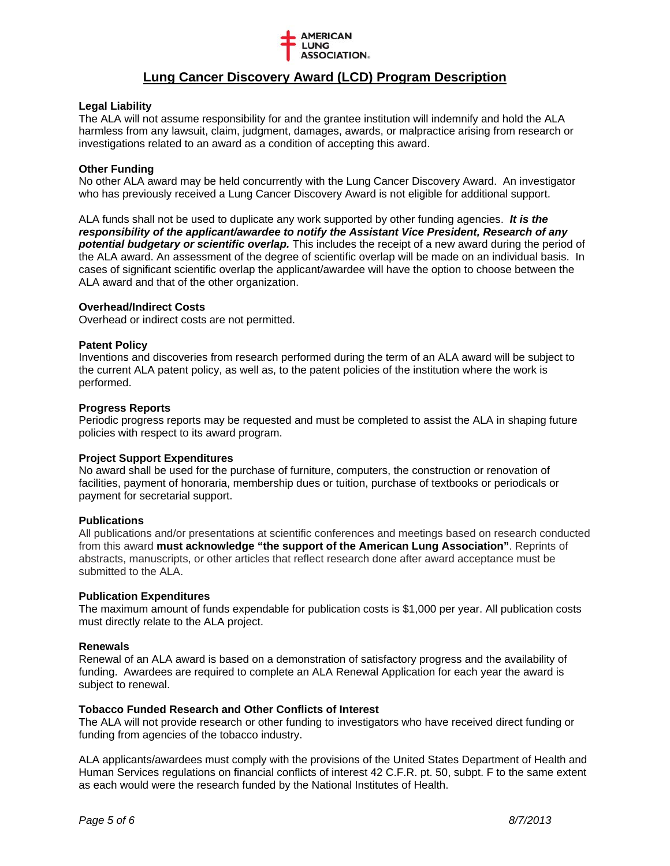

## **Legal Liability**

The ALA will not assume responsibility for and the grantee institution will indemnify and hold the ALA harmless from any lawsuit, claim, judgment, damages, awards, or malpractice arising from research or investigations related to an award as a condition of accepting this award.

## **Other Funding**

No other ALA award may be held concurrently with the Lung Cancer Discovery Award. An investigator who has previously received a Lung Cancer Discovery Award is not eligible for additional support.

ALA funds shall not be used to duplicate any work supported by other funding agencies. *It is the responsibility of the applicant/awardee to notify the Assistant Vice President, Research of any potential budgetary or scientific overlap.* This includes the receipt of a new award during the period of the ALA award. An assessment of the degree of scientific overlap will be made on an individual basis. In cases of significant scientific overlap the applicant/awardee will have the option to choose between the ALA award and that of the other organization.

## **Overhead/Indirect Costs**

Overhead or indirect costs are not permitted.

## **Patent Policy**

Inventions and discoveries from research performed during the term of an ALA award will be subject to the current ALA patent policy, as well as, to the patent policies of the institution where the work is performed.

## **Progress Reports**

Periodic progress reports may be requested and must be completed to assist the ALA in shaping future policies with respect to its award program.

## **Project Support Expenditures**

No award shall be used for the purchase of furniture, computers, the construction or renovation of facilities, payment of honoraria, membership dues or tuition, purchase of textbooks or periodicals or payment for secretarial support.

## **Publications**

All publications and/or presentations at scientific conferences and meetings based on research conducted from this award **must acknowledge "the support of the American Lung Association"**. Reprints of abstracts, manuscripts, or other articles that reflect research done after award acceptance must be submitted to the ALA.

## **Publication Expenditures**

The maximum amount of funds expendable for publication costs is \$1,000 per year. All publication costs must directly relate to the ALA project.

## **Renewals**

Renewal of an ALA award is based on a demonstration of satisfactory progress and the availability of funding. Awardees are required to complete an ALA Renewal Application for each year the award is subject to renewal.

## **Tobacco Funded Research and Other Conflicts of Interest**

The ALA will not provide research or other funding to investigators who have received direct funding or funding from agencies of the tobacco industry.

ALA applicants/awardees must comply with the provisions of the United States Department of Health and Human Services regulations on financial conflicts of interest 42 C.F.R. pt. 50, subpt. F to the same extent as each would were the research funded by the National Institutes of Health.